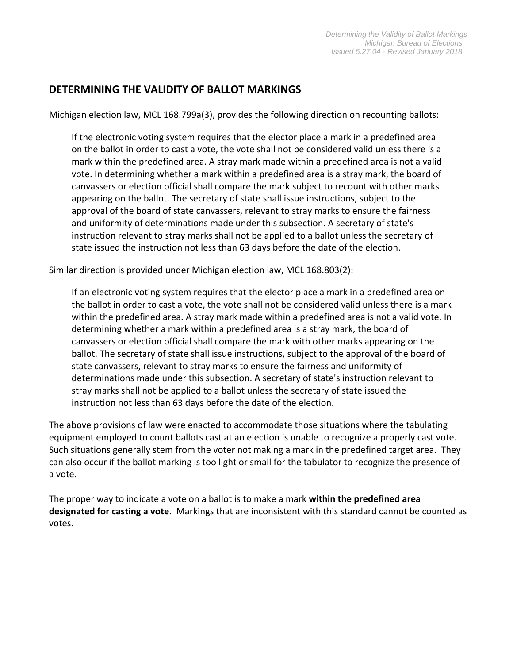## **DETERMINING THE VALIDITY OF BALLOT MARKINGS**

Michigan election law, MCL 168.799a(3), provides the following direction on recounting ballots:

If the electronic voting system requires that the elector place a mark in a predefined area on the ballot in order to cast a vote, the vote shall not be considered valid unless there is a mark within the predefined area. A stray mark made within a predefined area is not a valid vote. In determining whether a mark within a predefined area is a stray mark, the board of canvassers or election official shall compare the mark subject to recount with other marks appearing on the ballot. The secretary of state shall issue instructions, subject to the approval of the board of state canvassers, relevant to stray marks to ensure the fairness and uniformity of determinations made under this subsection. A secretary of state's instruction relevant to stray marks shall not be applied to a ballot unless the secretary of state issued the instruction not less than 63 days before the date of the election.

Similar direction is provided under Michigan election law, MCL 168.803(2):

If an electronic voting system requires that the elector place a mark in a predefined area on the ballot in order to cast a vote, the vote shall not be considered valid unless there is a mark within the predefined area. A stray mark made within a predefined area is not a valid vote. In determining whether a mark within a predefined area is a stray mark, the board of canvassers or election official shall compare the mark with other marks appearing on the ballot. The secretary of state shall issue instructions, subject to the approval of the board of state canvassers, relevant to stray marks to ensure the fairness and uniformity of determinations made under this subsection. A secretary of state's instruction relevant to stray marks shall not be applied to a ballot unless the secretary of state issued the instruction not less than 63 days before the date of the election.

The above provisions of law were enacted to accommodate those situations where the tabulating equipment employed to count ballots cast at an election is unable to recognize a properly cast vote. Such situations generally stem from the voter not making a mark in the predefined target area. They can also occur if the ballot marking is too light or small for the tabulator to recognize the presence of a vote.

The proper way to indicate a vote on a ballot is to make a mark **within the predefined area designated for casting a vote**. Markings that are inconsistent with this standard cannot be counted as votes.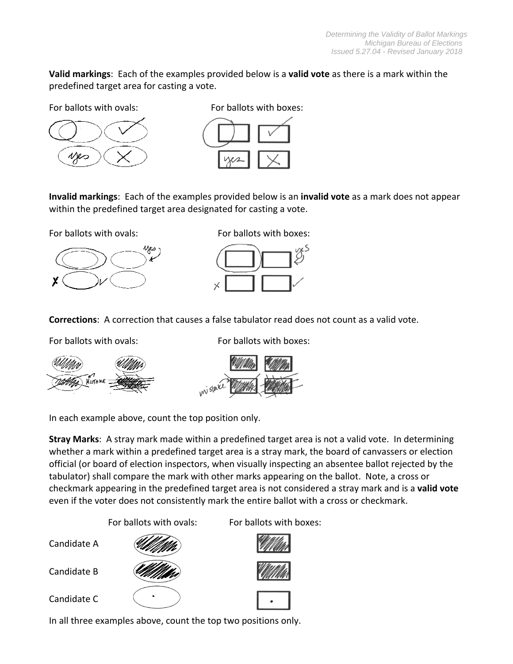**Valid markings**: Each of the examples provided below is a **valid vote** as there is a mark within the predefined target area for casting a vote.

For ballots with ovals: **Example 2** For ballots with boxes:



**Invalid markings**: Each of the examples provided below is an **invalid vote** as a mark does not appear within the predefined target area designated for casting a vote.



For ballots with ovals: **Example 20 For ballots with boxes:** 



**Corrections**: A correction that causes a false tabulator read does not count as a valid vote.



For ballots with ovals: **Example 20 For ballots with boxes:** 



In each example above, count the top position only.

**Stray Marks**: A stray mark made within a predefined target area is not a valid vote. In determining whether a mark within a predefined target area is a stray mark, the board of canvassers or election official (or board of election inspectors, when visually inspecting an absentee ballot rejected by the tabulator) shall compare the mark with other marks appearing on the ballot. Note, a cross or checkmark appearing in the predefined target area is not considered a stray mark and is a **valid vote** even if the voter does not consistently mark the entire ballot with a cross or checkmark.

For ballots with ovals: For ballots with boxes:



In all three examples above, count the top two positions only.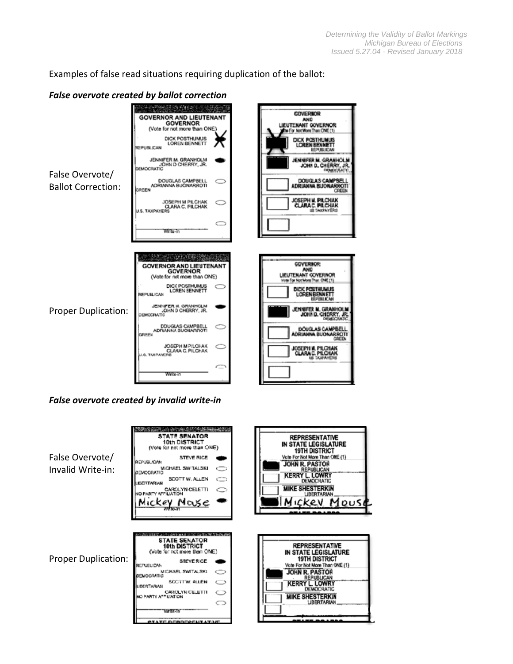Examples of false read situations requiring duplication of the ballot:

|                                              | <b>False overvote created by ballot correction</b>                                                                                                                                                                                                                                                                                                                      |                                                                                                                                                                                                                                                                                                                                                                   |
|----------------------------------------------|-------------------------------------------------------------------------------------------------------------------------------------------------------------------------------------------------------------------------------------------------------------------------------------------------------------------------------------------------------------------------|-------------------------------------------------------------------------------------------------------------------------------------------------------------------------------------------------------------------------------------------------------------------------------------------------------------------------------------------------------------------|
| False Overvote/<br><b>Ballot Correction:</b> | 医小脑 网络马克尔<br><b>GOVERNOR AND LIEUTENANT</b><br><b>GOVERNOR</b><br>(Vote for not more than ONE)<br>DICK POSTHUMUS<br><b>LOREN BENNETT</b><br><b>REPUBLICAN</b><br>JENNIFER M. GRANHOLM<br>JOHN D CHERRY, JR.<br>DEMOCRATIC<br>DOUGLAS CAMPBELL<br>ADRIANNA BUONARROTI<br>GREEN<br>JOSEPH M PILCHAK<br><b>CLARA C. PILCHAK</b><br><b>U.S. TAXPAYERS</b><br>Write-in       | <b>GOVIERSOR</b><br><b>AND</b><br>LIEUTENANT GOVERNOR<br>to For Not More Than CNE (1)<br>DICK POSTHUMUS<br><b>LOREN BENNETT</b><br>EGIPAHIJ KEAN<br>JENNIFER M. GRANHOLM<br>JOHN D. CHERRY, JR.<br><b>DIEMOCRATIC</b><br>DOUGLAS CAMPBELL<br>ADRIANNA BUONARROTI<br>CREEK<br>JOSEPH M. PILCHAK<br>Clarac. Pilchak<br>US TAXPAYERS                                 |
| <b>Proper Duplication:</b>                   | <b>GOVERNOR AND LIEUTENANT</b><br><b>GOVERNOR</b><br>(Vote for not more than ONE)<br>DICK POSTHUMUS<br><b>LOREN BENNETT</b><br><b>REPUBLICAN</b><br>JENNIFER M. GRANHCLM<br>JOHN D CHERRY, JR.<br>DEMOCRATIC<br>DOUGLAS CAMPBELL<br>⊂<br>ADRIANNA BUOILARROTI<br>GREEN<br><b>JOSEPH M PILCHAK</b><br>CLARA C. PILCHAK<br><b>J.B. TAXPANERS</b><br>$\subset$<br>Write-in | <b>GOVERNOR:</b><br>ANIO<br><b>LIEUTENANT GOVIERNOR</b><br>Wote For Not More Than ONE [1]<br>DICK POSTHUMUS<br><b>LOREN BENNETT</b><br><b>REPORT BOARD</b><br>JENNIFER M. GRANHOLM<br>JOHN D. CHERRY, JR.<br>DIEMOCRATIC<br><b>DOUGLAS CAMPBELL</b><br><b>ADRIANNA BUONARROTI</b><br><b>GREEN</b><br>JOSEPH N. PILCHAK<br><b>CLARAC, PILCHAK</b><br>us taxpayeris |

*False overvote created by invalid write‐in*